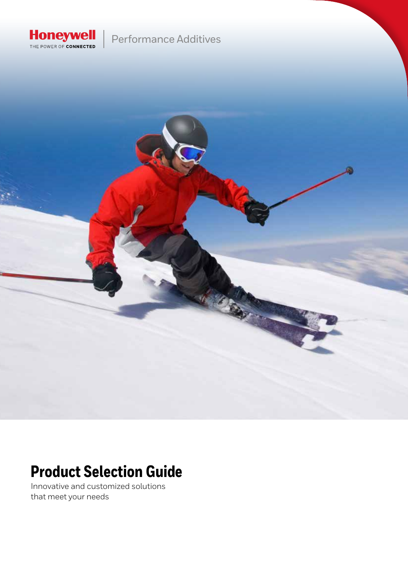

### Performance Additives



## **Product Selection Guide**

Innovative and customized solutions that meet your needs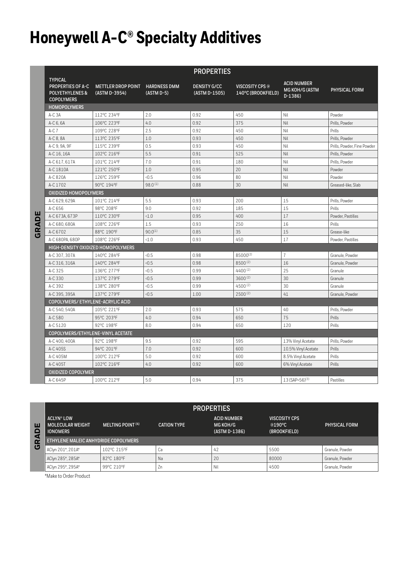# **Honeywell A-C® Specialty Additives**

|                                                                                               |                                            |                                   | <b>PROPERTIES</b>                    |                                              |                                                         |                             |
|-----------------------------------------------------------------------------------------------|--------------------------------------------|-----------------------------------|--------------------------------------|----------------------------------------------|---------------------------------------------------------|-----------------------------|
| <b>TYPICAL</b><br><b>PROPERTIES OF A-C</b><br><b>POLYETHYLENES &amp;</b><br><b>COPOLYMERS</b> | <b>METTLER DROP POINT</b><br>(ASTM D-3954) | <b>HARDNESS DMM</b><br>(ASTM D-5) | <b>DENSITY G/CC</b><br>(ASTM D-1505) | <b>VISCOSITY CPS @</b><br>140°C (BROOKFIELD) | <b>ACID NUMBER</b><br><b>MG KOH/G (ASTM</b><br>$D-1386$ | <b>PHYSICAL FORM</b>        |
| <b>HOMOPOLYMERS</b>                                                                           |                                            |                                   |                                      |                                              |                                                         |                             |
| $A-C3A$                                                                                       | 112°C 234°F                                | 2.0                               | 0.92                                 | 450                                          | Nil                                                     | Powder                      |
| A-C 6, 6A                                                                                     | 106°C 223°F                                | 4.0                               | 0.92                                 | 375                                          | Nil                                                     | Prills, Powder              |
| $A-C$ $7$                                                                                     | 109°C 228°F                                | 2.5                               | 0.92                                 | 450                                          | Nil                                                     | Prills                      |
| A-C 8, 8A                                                                                     | 113°C 235°F                                | 1.0                               | 0.93                                 | 450                                          | Nil                                                     | Prills, Powder              |
| A-C 9, 9A, 9F                                                                                 | 115°C 239°F                                | 0.5                               | 0.93                                 | 450                                          | Nil                                                     | Prills, Powder, Fine Powder |
| A-C 16, 16A                                                                                   | 102°C 216°F                                | 5.5                               | 0.91                                 | 525                                          | Nil                                                     | Prills, Powder              |
| A-C 617, 617A                                                                                 | 101°C 214°F                                | 7.0                               | 0.91                                 | 180                                          | Nil                                                     | Prills, Powder              |
| A-C 1810A                                                                                     | 121°C 250°F                                | 1.0                               | 0.95                                 | 20                                           | Nil                                                     | Powder                      |
| A-C 820A                                                                                      | 126°C 259°F                                | 0.5                               | 0.96                                 | 80                                           | Nil                                                     | Powder                      |
| A-C 1702                                                                                      | 90°C 194°F                                 | 98.0(1)                           | 0.88                                 | 30                                           | Nil                                                     | Greased-like, Slab          |
| <b>OXIDIZED HOMOPOLYMERS</b>                                                                  |                                            |                                   |                                      |                                              |                                                         |                             |
| A-C 629, 629A                                                                                 | 101°C 214°F                                | 5.5                               | 0.93                                 | 200                                          | 15                                                      | Prills, Powder              |
| A-C 656                                                                                       | 98°C 208°F                                 | 9.0                               | 0.92                                 | 185                                          | 15                                                      | Prills                      |
| A-C 673A, 673P                                                                                | 110°C 230°F                                | <1.0                              | 0.95                                 | 400                                          | 17                                                      | Powder, Pastilles           |
| A-C 680, 680A                                                                                 | 108°C 226°F                                | 1.5                               | 0.93                                 | 250                                          | 16                                                      | Prills                      |
| A-C 6702                                                                                      | 88°C 190°F                                 | $90.0^{(1)}$                      | 0.85                                 | 35                                           | 15                                                      | Grease-like                 |
| A-C 680PA, 680P                                                                               | 108°C 226°F                                | <1.0                              | 0.93                                 | 450                                          | 17                                                      | Powder, Pastilles           |
|                                                                                               | HIGH-DENSITY OXIDIZED HOMOPOLYMERS         |                                   |                                      |                                              |                                                         |                             |
| A-C 307, 307A                                                                                 | 140°C 284°F                                | 0.5                               | 0.98                                 | 85000(2)                                     | $\overline{1}$                                          | Granule, Powder             |
| A-C 316, 316A                                                                                 | 140°C 284°F                                | 0.5                               | 0.98                                 | 8500(2)                                      | 16                                                      | Granule, Powder             |
| A-C 325                                                                                       | 136°C 277°F                                | 0.5                               | 0.99                                 | 4400(2)                                      | 25                                                      | Granule                     |
| A-C 330                                                                                       | 137°C 279°F                                | 0.5                               | 0.99                                 | $3600^{(2)}$                                 | 30                                                      | Granule                     |
| A-C 392                                                                                       | 138°C 280°F                                | 0.5                               | 0.99                                 | 4500(2)                                      | 30                                                      | Granule                     |
| A-C 395, 395A                                                                                 | 137°C 279°F                                | 0.5                               | 1.00                                 | $2500^{(2)}$                                 | 41                                                      | Granule, Powder             |
| COPOLYMERS/ ETHYLENE-ACRYLIC ACID                                                             |                                            |                                   |                                      |                                              |                                                         |                             |
| A-C 540, 540A                                                                                 | 105°C 221°F                                | 2.0                               | 0.93                                 | 575                                          | 40                                                      | Prills, Powder              |
| A-C 580                                                                                       | 95°C 203°F                                 | 4.0                               | 0.94                                 | 650                                          | 75                                                      | Prills                      |
| A-C 5120                                                                                      | 92°C 198°F                                 | 8.0                               | 0.94                                 | 650                                          | 120                                                     | Prills                      |
|                                                                                               | COPOLYMERS/ETHYLENE-VINYL ACETATE          |                                   |                                      |                                              |                                                         |                             |
| A-C 400, 400A                                                                                 | 92°C 198°F                                 | 9.5                               | 0.92                                 | 595                                          | 13% Vinyl Acetate                                       | Prills, Powder              |
| A-C 405S                                                                                      | 94°C 201°F                                 | 7.0                               | 0.92                                 | 600                                          | 10.5% Vinyl Acetate                                     | Prills                      |
| A-C 405M                                                                                      | 100°C 212°F                                | 5.0                               | 0.92                                 | 600                                          | 8.5% Vinyl Acetate                                      | Prills                      |
| A-C 405T                                                                                      | 102°C 216°F                                | 4.0                               | 0.92                                 | 600                                          | 6% Vinyl Acetate                                        | Prills                      |
| <b>OXIDIZED COPOLYMER</b>                                                                     |                                            |                                   |                                      |                                              |                                                         |                             |
| A-C 645P                                                                                      | 100°C 212°F                                | 5.0                               | 0.94                                 | 375                                          | $13(SAP=56)^{(3)}$                                      | Pastilles                   |

| <b>PROPERTIES</b>                                               |                              |                    |                                                 |                                                |                 |  |  |
|-----------------------------------------------------------------|------------------------------|--------------------|-------------------------------------------------|------------------------------------------------|-----------------|--|--|
| <b>ACLYN® LOW</b><br><b>MOLECULAR WEIGHT</b><br><b>IONOMERS</b> | MELTING POINT <sup>(4)</sup> | <b>CATION TYPE</b> | <b>ACID NUMBER</b><br>MG KOH/G<br>(ASTM D-1386) | <b>VISCOSITY CPS</b><br>@190°C<br>(BROOKFIELD) | PHYSICAL FORM   |  |  |
| <b>ETHYLENE MALEIC ANHYDRIDE COPOLYMERS</b>                     |                              |                    |                                                 |                                                |                 |  |  |
| AClyn 201*, 201A*                                               | 102°C 215°F                  | Ca                 | 42                                              | 5500                                           | Granule, Powder |  |  |
| AClyn 285*, 285A*                                               | 82°C 180°F                   | Na                 | 20                                              | 80000                                          | Granule, Powder |  |  |
| AClyn 295*, 295A*                                               | 99°C 210°F                   | Zn                 | Nil                                             | 4500                                           | Granule, Powder |  |  |

\*Make to Order Product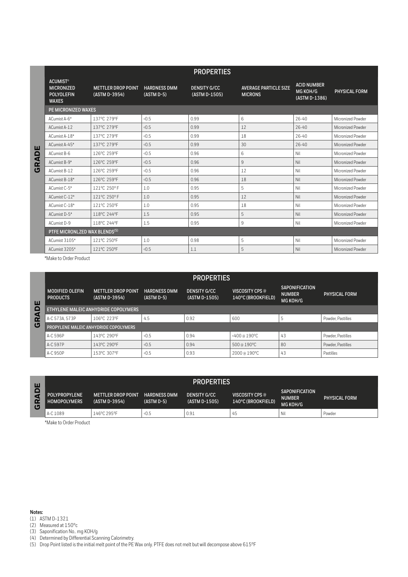| <b>PROPERTIES</b>                                                         |                                            |                                     |                                      |                                                |                                                 |                   |  |
|---------------------------------------------------------------------------|--------------------------------------------|-------------------------------------|--------------------------------------|------------------------------------------------|-------------------------------------------------|-------------------|--|
| <b>ACUMIST®</b><br><b>MICRONIZED</b><br><b>POLYOLEFIN</b><br><b>WAXES</b> | <b>METTLER DROP POINT</b><br>(ASTM D-3954) | <b>HARDNESS DMM</b><br>$(ASTM D-5)$ | <b>DENSITY G/CC</b><br>(ASTM D-1505) | <b>AVERAGE PARTICLE SIZE</b><br><b>MICRONS</b> | <b>ACID NUMBER</b><br>MG KOH/G<br>(ASTM D-1386) | PHYSICAL FORM     |  |
| <b>PE MICRONIZED WAXES</b>                                                |                                            |                                     |                                      |                                                |                                                 |                   |  |
| ACumist A-6*                                                              | 137°C 279°F                                | 0.5                                 | 0.99                                 | 6                                              | $76 - 40$                                       | Micronized Powder |  |
| ACumist A-12                                                              | 137°C 279°F                                | 0.5                                 | 0.99                                 | 12                                             | $76 - 40$                                       | Micronized Powder |  |
| ACumist A-18*                                                             | 137°C 279°F                                | (0.5)                               | 0.99                                 | 18                                             | $76 - 40$                                       | Micronized Powder |  |
| ACumist A-45*                                                             | 137°C 279°F                                | <0.5                                | 0.99                                 | 30                                             | 26-40                                           | Micronized Powder |  |
| ACumist B-6                                                               | 126°C 259°F                                | 0.5                                 | 0.96                                 | 6                                              | Nil                                             | Micronized Powder |  |
| ACumist B-9*                                                              | 126°C 259°F                                | 0.5                                 | 0.96                                 | 9                                              | Nil                                             | Micronized Powder |  |
| ACumist B-12                                                              | 126°C 259°F                                | 0.5                                 | 0.96                                 | 12                                             | Nil                                             | Micronized Powder |  |
| ACumist B-18*                                                             | 126°C 259°F                                | 0.5                                 | 0.96                                 | 18                                             | Nil                                             | Micronized Powder |  |
| ACumist C-5*                                                              | 121°C 250°F                                | 1.0                                 | 0.95                                 | 5                                              | Nil                                             | Micronized Powder |  |
| ACumist C-12*                                                             | 121°C 250°F                                | 1.0                                 | 0.95                                 | 12                                             | Nil                                             | Micronized Powder |  |
| ACumist C-18*                                                             | 121°C 250°F                                | 1.0                                 | 0.95                                 | 18                                             | Nil                                             | Micronized Powder |  |
| ACumist D-5*                                                              | 118°C 244°F                                | 1.5                                 | 0.95                                 | 5                                              | Nil                                             | Micronized Powder |  |
| ACumist D-9                                                               | 118°C 244°F                                | 1.5                                 | 0.95                                 | 9                                              | Nil                                             | Micronized Powder |  |
| PTFE MICRONLZED WAX BLENDS <sup>(5)</sup>                                 |                                            |                                     |                                      |                                                |                                                 |                   |  |
| ACumist 3105*                                                             | 121°C 250°F                                | 1.0                                 | 0.98                                 | 5                                              | Nil                                             | Micronized Powder |  |
| ACumist 3205*                                                             | 121°C 250°F                                | 0.5                                 | 1.1                                  | 5                                              | Nil                                             | Micronized Powder |  |

\*Make to Order Product

**GRADE**

|                                            | <b>PROPERTIES</b>                         |                                            |                                     |                                      |                                              |                                                    |                   |  |
|--------------------------------------------|-------------------------------------------|--------------------------------------------|-------------------------------------|--------------------------------------|----------------------------------------------|----------------------------------------------------|-------------------|--|
| ш<br>Δ<br>$\blacktriangleleft$<br>$\alpha$ | <b>MODIFIED OLEFIN</b><br><b>PRODUCTS</b> | <b>METTLER DROP POINT</b><br>(ASTM D-3954) | <b>HARDNESS DMM</b><br>$(ASTM D-5)$ | <b>DENSITY G/CC</b><br>(ASTM D-1505) | <b>VISCOSITY CPS @</b><br>140°C (BROOKFIELD) | <b>SAPONIFICATION</b><br><b>NUMBER</b><br>MG KOH/G | PHYSICAL FORM     |  |
|                                            | ETHYLENE MALEIC ANHYDRIDE COPOLYMERS      |                                            |                                     |                                      |                                              |                                                    |                   |  |
|                                            | A-C 573A, 573P                            | 106°C 223°F                                | 4.5                                 | 0.92                                 | 600                                          | ÷                                                  | Powder, Pastilles |  |
| じ                                          | PROPYLENE MALEIC ANHYDRIDE COPOLYMERS     |                                            |                                     |                                      |                                              |                                                    |                   |  |
|                                            | A-C 596P                                  | 143°C 290°F                                | <0.5                                | 0.94                                 | <400 @ 190°C                                 | 43                                                 | Powder, Pastilles |  |
|                                            | A-C 597P                                  | 143°C 290°F                                | <0.5                                | 0.94                                 | 500 @ 190°C                                  | 80                                                 | Powder, Pastilles |  |
|                                            | A-C 950P                                  | 153°C 307°F                                | <0.5                                | 0.93                                 | 2000 @ 190°C                                 | 43                                                 | Pastilles         |  |

| ш                            | <b>PROPERTIES</b>                           |                                            |                                   |                                      |                                       |                                                    |               |  |
|------------------------------|---------------------------------------------|--------------------------------------------|-----------------------------------|--------------------------------------|---------------------------------------|----------------------------------------------------|---------------|--|
| $\Box$<br>a<br>$\alpha$<br>U | <b>POLYPROPYLENE</b><br><b>HOMOPOLYMERS</b> | <b>METTLER DROP POINT</b><br>(ASTM D-3954) | <b>HARDNESS DMM</b><br>(ASTM D-5) | <b>DENSITY G/CC</b><br>(ASTM D-1505) | VISCOSITY CPS @<br>140°C (BROOKFIELD) | <b>SAPONIFICATION</b><br><b>NUMBER</b><br>MG KOH/G | PHYSICAL FORM |  |
|                              | A-C 1089                                    | 146°C 295°F                                | <0.5                              | 0.91                                 | 45                                    | Nil                                                | Powder        |  |

\*Make to Order Product

**Notes:** 

(1) ASTM D-1321

(2) Measured at 150°c

(3) Saponification No.. mg KOH/g

(4) Determined by Differential Scanning Calorimetry.

(5) Drop Point listed is the initial melt point of the PE Wax only. PTFE does not melt but will decompose above 615°F